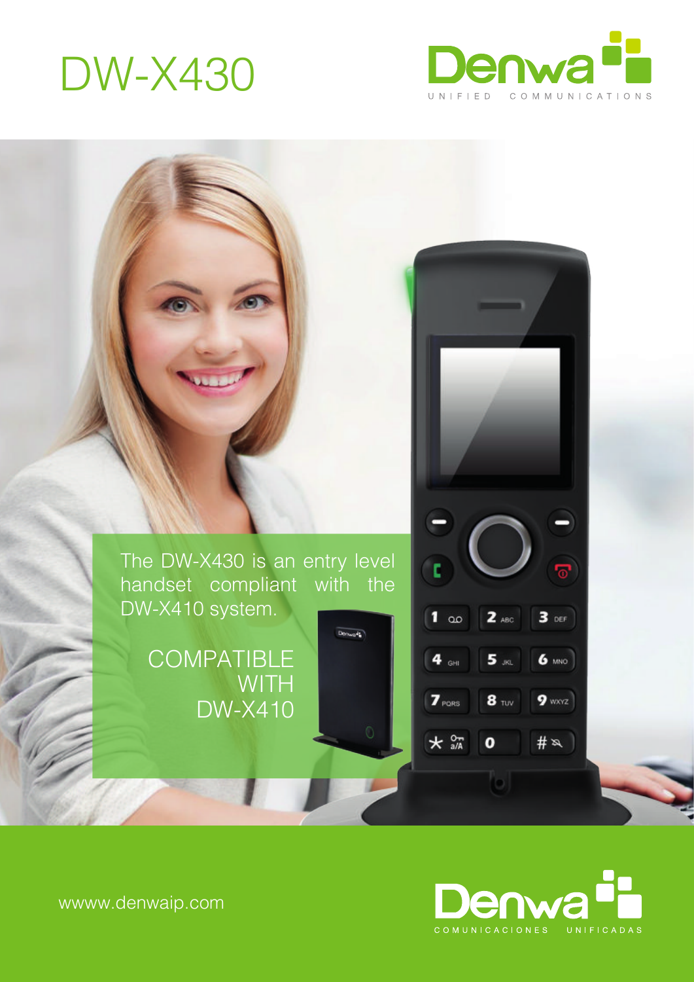





**COMPATIBLE** WITH DW-X410

COMUNICACIONES UNIFICADAS

೯

 $3000$ 

 $6 \text{ m}$ 

 $9$  wxvz

 $# \infty$ 

 $2$  ABC

 $5<sub>381</sub>$ 

 $8<sub>TV</sub>$ 

 $\pmb{\mathrm{o}}$ 

b.

 $\blacksquare$ 

Donanés<sup>1</sup>

 $\infty$ 

4 61

 $7<sub>PORS</sub>$ 

 $*$   $\frac{67}{44}$ 

wwww.denwaip.com